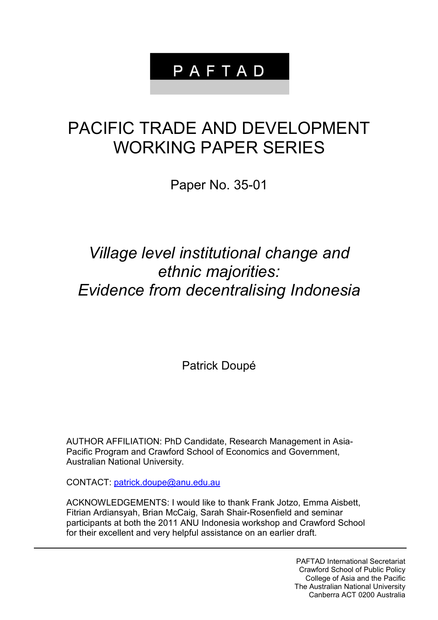## PAFTAD

# PACIFIC TRADE AND DEVELOPMENT WORKING PAPER SERIES

Paper No. 35-01

## *Village level institutional change and ethnic majorities: Evidence from decentralising Indonesia*

Patrick Doupé

AUTHOR AFFILIATION: PhD Candidate, Research Management in Asia-Pacific Program and Crawford School of Economics and Government, Australian National University.

CONTACT: [patrick.doupe@anu.edu.au](mailto:patrick.doupe@anu.edu.au)

ACKNOWLEDGEMENTS: I would like to thank Frank Jotzo, Emma Aisbett, Fitrian Ardiansyah, Brian McCaig, Sarah Shair-Rosenfield and seminar participants at both the 2011 ANU Indonesia workshop and Crawford School for their excellent and very helpful assistance on an earlier draft.

> PAFTAD International Secretariat Crawford School of Public Policy College of Asia and the Pacific The Australian National University Canberra ACT 0200 Australia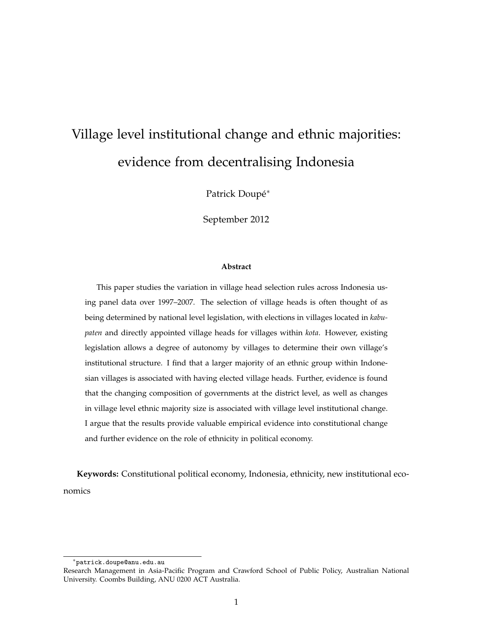## Village level institutional change and ethnic majorities: evidence from decentralising Indonesia

Patrick Doupé<sup>∗</sup>

September 2012

#### **Abstract**

This paper studies the variation in village head selection rules across Indonesia using panel data over 1997–2007. The selection of village heads is often thought of as being determined by national level legislation, with elections in villages located in *kabupaten* and directly appointed village heads for villages within *kota*. However, existing legislation allows a degree of autonomy by villages to determine their own village's institutional structure. I find that a larger majority of an ethnic group within Indonesian villages is associated with having elected village heads. Further, evidence is found that the changing composition of governments at the district level, as well as changes in village level ethnic majority size is associated with village level institutional change. I argue that the results provide valuable empirical evidence into constitutional change and further evidence on the role of ethnicity in political economy.

**Keywords:** Constitutional political economy, Indonesia, ethnicity, new institutional economics

<sup>∗</sup>patrick.doupe@anu.edu.au

Research Management in Asia-Pacific Program and Crawford School of Public Policy, Australian National University. Coombs Building, ANU 0200 ACT Australia.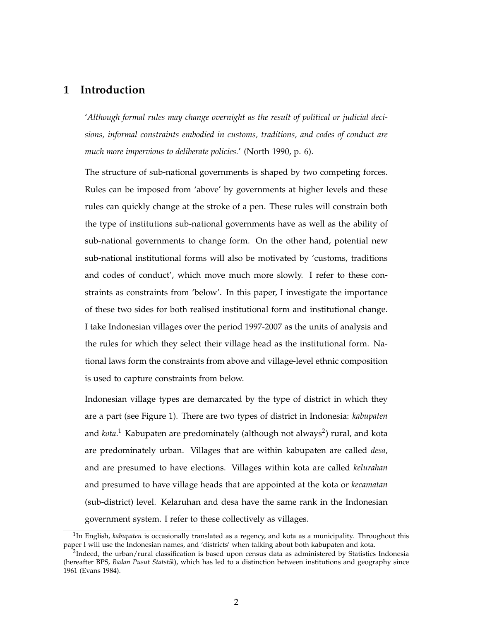### **1 Introduction**

'*Although formal rules may change overnight as the result of political or judicial decisions, informal constraints embodied in customs, traditions, and codes of conduct are much more impervious to deliberate policies.*' (North 1990, p. 6).

The structure of sub-national governments is shaped by two competing forces. Rules can be imposed from 'above' by governments at higher levels and these rules can quickly change at the stroke of a pen. These rules will constrain both the type of institutions sub-national governments have as well as the ability of sub-national governments to change form. On the other hand, potential new sub-national institutional forms will also be motivated by 'customs, traditions and codes of conduct', which move much more slowly. I refer to these constraints as constraints from 'below'. In this paper, I investigate the importance of these two sides for both realised institutional form and institutional change. I take Indonesian villages over the period 1997-2007 as the units of analysis and the rules for which they select their village head as the institutional form. National laws form the constraints from above and village-level ethnic composition is used to capture constraints from below.

Indonesian village types are demarcated by the type of district in which they are a part (see Figure 1). There are two types of district in Indonesia: *kabupaten* and *kota*.<sup>1</sup> Kabupaten are predominately (although not always<sup>2</sup>) rural, and kota are predominately urban. Villages that are within kabupaten are called *desa*, and are presumed to have elections. Villages within kota are called *kelurahan* and presumed to have village heads that are appointed at the kota or *kecamatan* (sub-district) level. Kelaruhan and desa have the same rank in the Indonesian government system. I refer to these collectively as villages.

<sup>&</sup>lt;sup>1</sup>In English, *kabupaten* is occasionally translated as a regency, and kota as a municipality. Throughout this paper I will use the Indonesian names, and 'districts' when talking about both kabupaten and kota.

 $^{2}$ Indeed, the urban/rural classification is based upon census data as administered by Statistics Indonesia (hereafter BPS, *Badan Pusut Statstik*), which has led to a distinction between institutions and geography since 1961 (Evans 1984).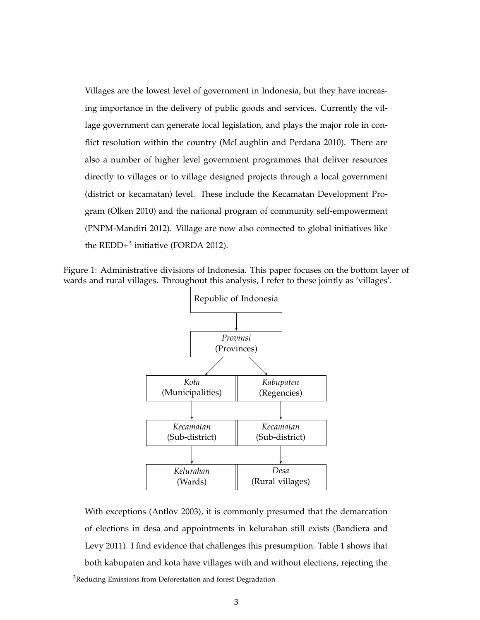Villages are the lowest level of government in Indonesia, but they have increasing importance in the delivery of public goods and services. Currently the village government can generate local legislation, and plays the major role in conflict resolution within the country (McLaughlin and Perdana 2010). There are also a number of higher level government programmes that deliver resources directly to villages or to village designed projects through a local government (district or kecamatan) level. These include the Kecamatan Development Program (Olken 2010) and the national program of community self-empowerment (PNPM-Mandiri 2012). Village are now also connected to global initiatives like the  $REDD+^3$  initiative (FORDA 2012).

Figure 1: Administrative divisions of Indonesia. This paper focuses on the bottom layer of wards and rural villages. Throughout this analysis, I refer to these jointly as 'villages'.



With exceptions (Antlöv 2003), it is commonly presumed that the demarcation of elections in desa and appointments in kelurahan still exists (Bandiera and Levy 2011). I find evidence that challenges this presumption. Table 1 shows that both kabupaten and kota have villages with and without elections, rejecting the

<sup>&</sup>lt;sup>3</sup>Reducing Emissions from Deforestation and forest Degradation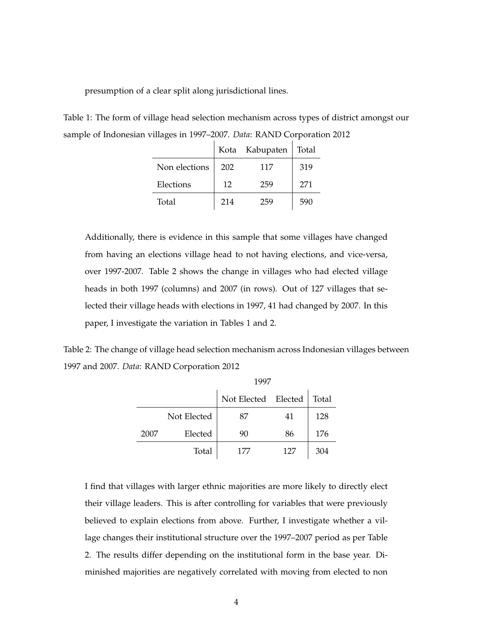presumption of a clear split along jurisdictional lines.

Table 1: The form of village head selection mechanism across types of district amongst our sample of Indonesian villages in 1997–2007. *Data*: RAND Corporation 2012

|               |     | Kota Kabupaten | Total |
|---------------|-----|----------------|-------|
| Non elections | 202 | 117            | 319   |
| Elections     | 12  | 259            | 271   |
| Total         | 214 | 259            | 590   |

Additionally, there is evidence in this sample that some villages have changed from having an elections village head to not having elections, and vice-versa, over 1997-2007. Table 2 shows the change in villages who had elected village heads in both 1997 (columns) and 2007 (in rows). Out of 127 villages that selected their village heads with elections in 1997, 41 had changed by 2007. In this paper, I investigate the variation in Tables 1 and 2.

Table 2: The change of village head selection mechanism across Indonesian villages between 1997 and 2007. *Data*: RAND Corporation 2012

|      |             | 1997                |     |       |
|------|-------------|---------------------|-----|-------|
|      |             | Not Elected Elected |     | Total |
|      | Not Elected | 87                  | 41  | 128   |
| 2007 | Elected     | 90                  | 86  | 176   |
|      | Total       | 177                 | 127 | 304   |

I find that villages with larger ethnic majorities are more likely to directly elect their village leaders. This is after controlling for variables that were previously believed to explain elections from above. Further, I investigate whether a village changes their institutional structure over the 1997–2007 period as per Table 2. The results differ depending on the institutional form in the base year. Diminished majorities are negatively correlated with moving from elected to non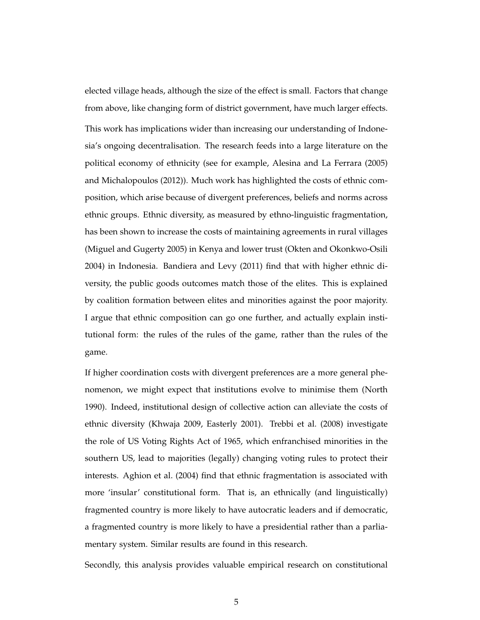elected village heads, although the size of the effect is small. Factors that change from above, like changing form of district government, have much larger effects. This work has implications wider than increasing our understanding of Indonesia's ongoing decentralisation. The research feeds into a large literature on the political economy of ethnicity (see for example, Alesina and La Ferrara (2005) and Michalopoulos (2012)). Much work has highlighted the costs of ethnic composition, which arise because of divergent preferences, beliefs and norms across ethnic groups. Ethnic diversity, as measured by ethno-linguistic fragmentation, has been shown to increase the costs of maintaining agreements in rural villages (Miguel and Gugerty 2005) in Kenya and lower trust (Okten and Okonkwo-Osili 2004) in Indonesia. Bandiera and Levy (2011) find that with higher ethnic diversity, the public goods outcomes match those of the elites. This is explained by coalition formation between elites and minorities against the poor majority. I argue that ethnic composition can go one further, and actually explain institutional form: the rules of the rules of the game, rather than the rules of the game.

If higher coordination costs with divergent preferences are a more general phenomenon, we might expect that institutions evolve to minimise them (North 1990). Indeed, institutional design of collective action can alleviate the costs of ethnic diversity (Khwaja 2009, Easterly 2001). Trebbi et al. (2008) investigate the role of US Voting Rights Act of 1965, which enfranchised minorities in the southern US, lead to majorities (legally) changing voting rules to protect their interests. Aghion et al. (2004) find that ethnic fragmentation is associated with more 'insular' constitutional form. That is, an ethnically (and linguistically) fragmented country is more likely to have autocratic leaders and if democratic, a fragmented country is more likely to have a presidential rather than a parliamentary system. Similar results are found in this research.

Secondly, this analysis provides valuable empirical research on constitutional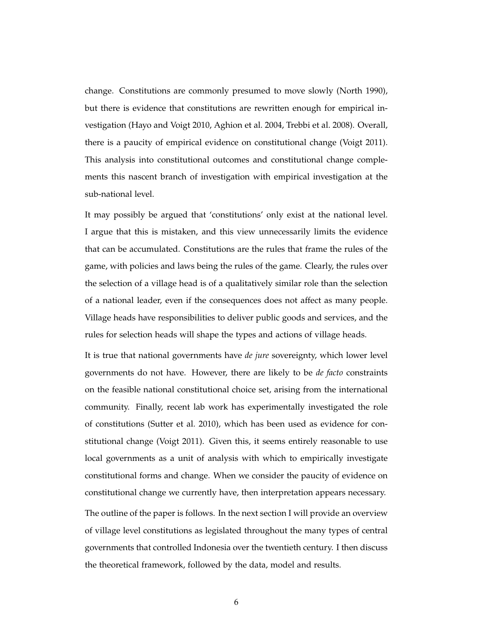change. Constitutions are commonly presumed to move slowly (North 1990), but there is evidence that constitutions are rewritten enough for empirical investigation (Hayo and Voigt 2010, Aghion et al. 2004, Trebbi et al. 2008). Overall, there is a paucity of empirical evidence on constitutional change (Voigt 2011). This analysis into constitutional outcomes and constitutional change complements this nascent branch of investigation with empirical investigation at the sub-national level.

It may possibly be argued that 'constitutions' only exist at the national level. I argue that this is mistaken, and this view unnecessarily limits the evidence that can be accumulated. Constitutions are the rules that frame the rules of the game, with policies and laws being the rules of the game. Clearly, the rules over the selection of a village head is of a qualitatively similar role than the selection of a national leader, even if the consequences does not affect as many people. Village heads have responsibilities to deliver public goods and services, and the rules for selection heads will shape the types and actions of village heads.

It is true that national governments have *de jure* sovereignty, which lower level governments do not have. However, there are likely to be *de facto* constraints on the feasible national constitutional choice set, arising from the international community. Finally, recent lab work has experimentally investigated the role of constitutions (Sutter et al. 2010), which has been used as evidence for constitutional change (Voigt 2011). Given this, it seems entirely reasonable to use local governments as a unit of analysis with which to empirically investigate constitutional forms and change. When we consider the paucity of evidence on constitutional change we currently have, then interpretation appears necessary. The outline of the paper is follows. In the next section I will provide an overview of village level constitutions as legislated throughout the many types of central governments that controlled Indonesia over the twentieth century. I then discuss the theoretical framework, followed by the data, model and results.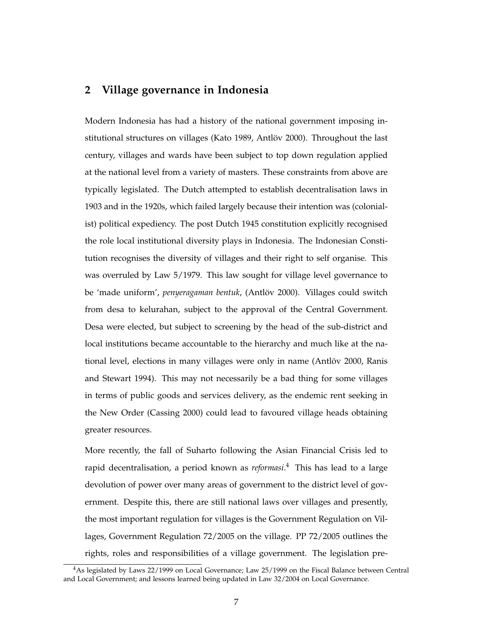## **2 Village governance in Indonesia**

Modern Indonesia has had a history of the national government imposing institutional structures on villages (Kato 1989, Antlöv 2000). Throughout the last century, villages and wards have been subject to top down regulation applied at the national level from a variety of masters. These constraints from above are typically legislated. The Dutch attempted to establish decentralisation laws in 1903 and in the 1920s, which failed largely because their intention was (colonialist) political expediency. The post Dutch 1945 constitution explicitly recognised the role local institutional diversity plays in Indonesia. The Indonesian Constitution recognises the diversity of villages and their right to self organise. This was overruled by Law 5/1979. This law sought for village level governance to be 'made uniform', *penyeragaman bentuk*, (Antlöv 2000). Villages could switch from desa to kelurahan, subject to the approval of the Central Government. Desa were elected, but subject to screening by the head of the sub-district and local institutions became accountable to the hierarchy and much like at the national level, elections in many villages were only in name (Antlöv 2000, Ranis and Stewart 1994). This may not necessarily be a bad thing for some villages in terms of public goods and services delivery, as the endemic rent seeking in the New Order (Cassing 2000) could lead to favoured village heads obtaining greater resources.

More recently, the fall of Suharto following the Asian Financial Crisis led to rapid decentralisation, a period known as *reformasi*. <sup>4</sup> This has lead to a large devolution of power over many areas of government to the district level of government. Despite this, there are still national laws over villages and presently, the most important regulation for villages is the Government Regulation on Villages, Government Regulation 72/2005 on the village. PP 72/2005 outlines the rights, roles and responsibilities of a village government. The legislation pre-

<sup>&</sup>lt;sup>4</sup>As legislated by Laws 22/1999 on Local Governance; Law 25/1999 on the Fiscal Balance between Central and Local Government; and lessons learned being updated in Law 32/2004 on Local Governance.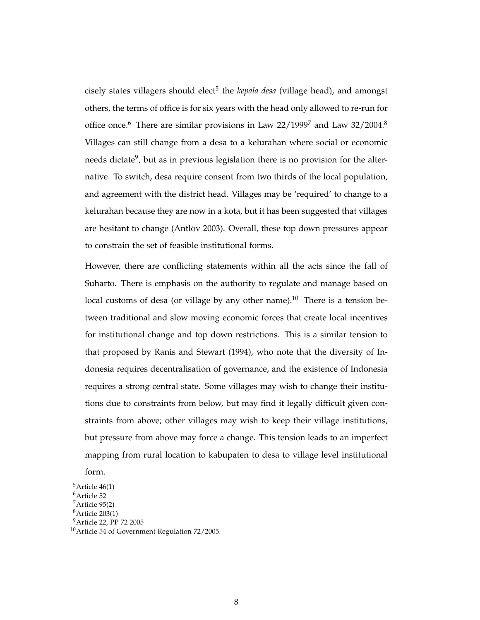cisely states villagers should elect<sup>5</sup> the *kepala desa* (village head), and amongst others, the terms of office is for six years with the head only allowed to re-run for office once.<sup>6</sup> There are similar provisions in Law  $22/1999^7$  and Law  $32/2004$ .<sup>8</sup> Villages can still change from a desa to a kelurahan where social or economic needs dictate<sup>9</sup>, but as in previous legislation there is no provision for the alternative. To switch, desa require consent from two thirds of the local population, and agreement with the district head. Villages may be 'required' to change to a kelurahan because they are now in a kota, but it has been suggested that villages are hesitant to change (Antlöv 2003). Overall, these top down pressures appear to constrain the set of feasible institutional forms.

However, there are conflicting statements within all the acts since the fall of Suharto. There is emphasis on the authority to regulate and manage based on local customs of desa (or village by any other name).<sup>10</sup> There is a tension between traditional and slow moving economic forces that create local incentives for institutional change and top down restrictions. This is a similar tension to that proposed by Ranis and Stewart (1994), who note that the diversity of Indonesia requires decentralisation of governance, and the existence of Indonesia requires a strong central state. Some villages may wish to change their institutions due to constraints from below, but may find it legally difficult given constraints from above; other villages may wish to keep their village institutions, but pressure from above may force a change. This tension leads to an imperfect mapping from rural location to kabupaten to desa to village level institutional

form.

 $5$ Article 46(1) <sup>6</sup>Article 52

<sup>7</sup>Article 95(2)

<sup>8</sup>Article 203(1)

<sup>9</sup>Article 22, PP 72 2005

<sup>10</sup>Article 54 of Government Regulation 72/2005.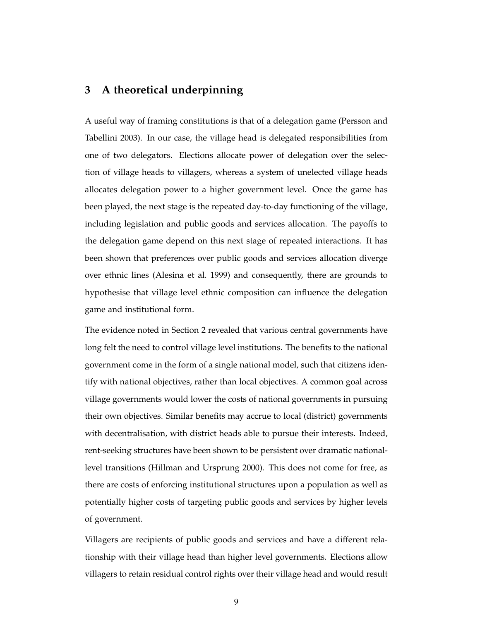## **3 A theoretical underpinning**

A useful way of framing constitutions is that of a delegation game (Persson and Tabellini 2003). In our case, the village head is delegated responsibilities from one of two delegators. Elections allocate power of delegation over the selection of village heads to villagers, whereas a system of unelected village heads allocates delegation power to a higher government level. Once the game has been played, the next stage is the repeated day-to-day functioning of the village, including legislation and public goods and services allocation. The payoffs to the delegation game depend on this next stage of repeated interactions. It has been shown that preferences over public goods and services allocation diverge over ethnic lines (Alesina et al. 1999) and consequently, there are grounds to hypothesise that village level ethnic composition can influence the delegation game and institutional form.

The evidence noted in Section 2 revealed that various central governments have long felt the need to control village level institutions. The benefits to the national government come in the form of a single national model, such that citizens identify with national objectives, rather than local objectives. A common goal across village governments would lower the costs of national governments in pursuing their own objectives. Similar benefits may accrue to local (district) governments with decentralisation, with district heads able to pursue their interests. Indeed, rent-seeking structures have been shown to be persistent over dramatic nationallevel transitions (Hillman and Ursprung 2000). This does not come for free, as there are costs of enforcing institutional structures upon a population as well as potentially higher costs of targeting public goods and services by higher levels of government.

Villagers are recipients of public goods and services and have a different relationship with their village head than higher level governments. Elections allow villagers to retain residual control rights over their village head and would result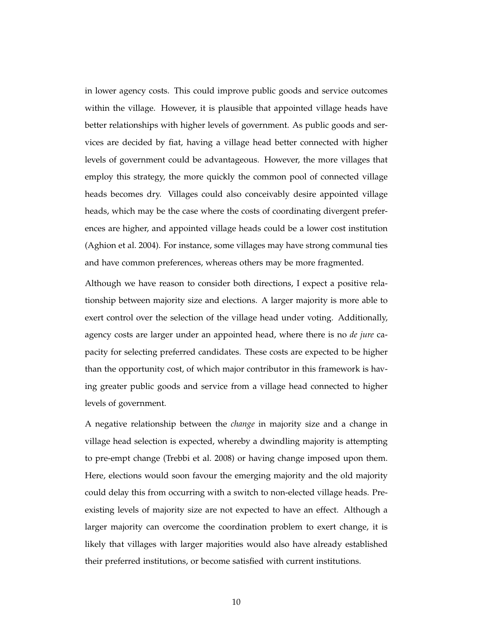in lower agency costs. This could improve public goods and service outcomes within the village. However, it is plausible that appointed village heads have better relationships with higher levels of government. As public goods and services are decided by fiat, having a village head better connected with higher levels of government could be advantageous. However, the more villages that employ this strategy, the more quickly the common pool of connected village heads becomes dry. Villages could also conceivably desire appointed village heads, which may be the case where the costs of coordinating divergent preferences are higher, and appointed village heads could be a lower cost institution (Aghion et al. 2004). For instance, some villages may have strong communal ties and have common preferences, whereas others may be more fragmented.

Although we have reason to consider both directions, I expect a positive relationship between majority size and elections. A larger majority is more able to exert control over the selection of the village head under voting. Additionally, agency costs are larger under an appointed head, where there is no *de jure* capacity for selecting preferred candidates. These costs are expected to be higher than the opportunity cost, of which major contributor in this framework is having greater public goods and service from a village head connected to higher levels of government.

A negative relationship between the *change* in majority size and a change in village head selection is expected, whereby a dwindling majority is attempting to pre-empt change (Trebbi et al. 2008) or having change imposed upon them. Here, elections would soon favour the emerging majority and the old majority could delay this from occurring with a switch to non-elected village heads. Preexisting levels of majority size are not expected to have an effect. Although a larger majority can overcome the coordination problem to exert change, it is likely that villages with larger majorities would also have already established their preferred institutions, or become satisfied with current institutions.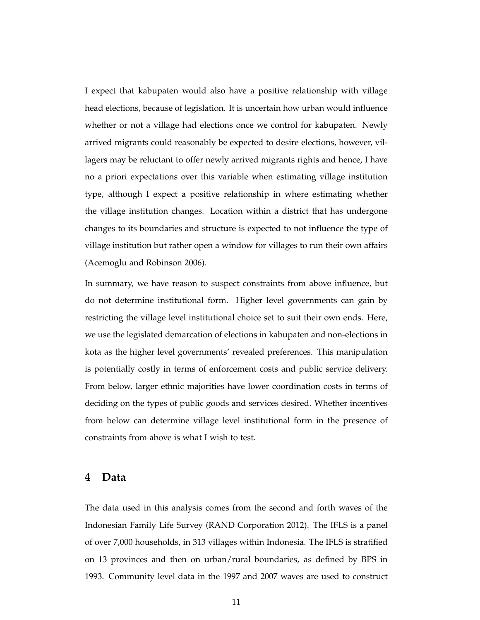I expect that kabupaten would also have a positive relationship with village head elections, because of legislation. It is uncertain how urban would influence whether or not a village had elections once we control for kabupaten. Newly arrived migrants could reasonably be expected to desire elections, however, villagers may be reluctant to offer newly arrived migrants rights and hence, I have no a priori expectations over this variable when estimating village institution type, although I expect a positive relationship in where estimating whether the village institution changes. Location within a district that has undergone changes to its boundaries and structure is expected to not influence the type of village institution but rather open a window for villages to run their own affairs (Acemoglu and Robinson 2006).

In summary, we have reason to suspect constraints from above influence, but do not determine institutional form. Higher level governments can gain by restricting the village level institutional choice set to suit their own ends. Here, we use the legislated demarcation of elections in kabupaten and non-elections in kota as the higher level governments' revealed preferences. This manipulation is potentially costly in terms of enforcement costs and public service delivery. From below, larger ethnic majorities have lower coordination costs in terms of deciding on the types of public goods and services desired. Whether incentives from below can determine village level institutional form in the presence of constraints from above is what I wish to test.

### **4 Data**

The data used in this analysis comes from the second and forth waves of the Indonesian Family Life Survey (RAND Corporation 2012). The IFLS is a panel of over 7,000 households, in 313 villages within Indonesia. The IFLS is stratified on 13 provinces and then on urban/rural boundaries, as defined by BPS in 1993. Community level data in the 1997 and 2007 waves are used to construct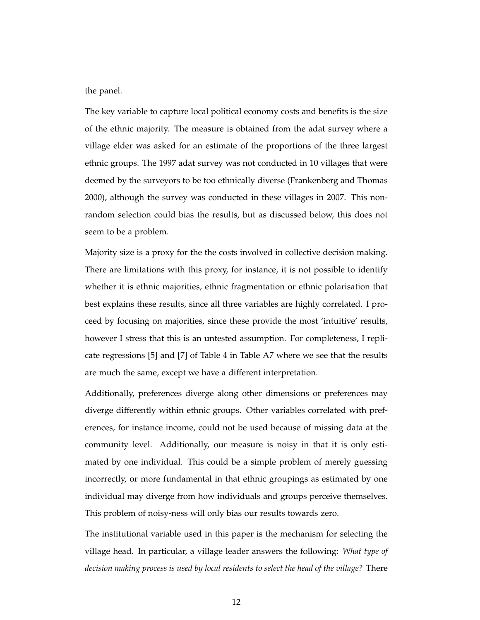the panel.

The key variable to capture local political economy costs and benefits is the size of the ethnic majority. The measure is obtained from the adat survey where a village elder was asked for an estimate of the proportions of the three largest ethnic groups. The 1997 adat survey was not conducted in 10 villages that were deemed by the surveyors to be too ethnically diverse (Frankenberg and Thomas 2000), although the survey was conducted in these villages in 2007. This nonrandom selection could bias the results, but as discussed below, this does not seem to be a problem.

Majority size is a proxy for the the costs involved in collective decision making. There are limitations with this proxy, for instance, it is not possible to identify whether it is ethnic majorities, ethnic fragmentation or ethnic polarisation that best explains these results, since all three variables are highly correlated. I proceed by focusing on majorities, since these provide the most 'intuitive' results, however I stress that this is an untested assumption. For completeness, I replicate regressions [5] and [7] of Table 4 in Table A7 where we see that the results are much the same, except we have a different interpretation.

Additionally, preferences diverge along other dimensions or preferences may diverge differently within ethnic groups. Other variables correlated with preferences, for instance income, could not be used because of missing data at the community level. Additionally, our measure is noisy in that it is only estimated by one individual. This could be a simple problem of merely guessing incorrectly, or more fundamental in that ethnic groupings as estimated by one individual may diverge from how individuals and groups perceive themselves. This problem of noisy-ness will only bias our results towards zero.

The institutional variable used in this paper is the mechanism for selecting the village head. In particular, a village leader answers the following: *What type of decision making process is used by local residents to select the head of the village?* There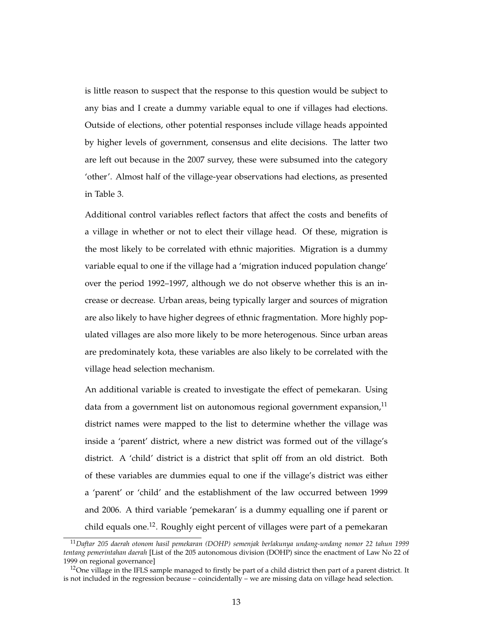is little reason to suspect that the response to this question would be subject to any bias and I create a dummy variable equal to one if villages had elections. Outside of elections, other potential responses include village heads appointed by higher levels of government, consensus and elite decisions. The latter two are left out because in the 2007 survey, these were subsumed into the category 'other'. Almost half of the village-year observations had elections, as presented in Table 3.

Additional control variables reflect factors that affect the costs and benefits of a village in whether or not to elect their village head. Of these, migration is the most likely to be correlated with ethnic majorities. Migration is a dummy variable equal to one if the village had a 'migration induced population change' over the period 1992–1997, although we do not observe whether this is an increase or decrease. Urban areas, being typically larger and sources of migration are also likely to have higher degrees of ethnic fragmentation. More highly populated villages are also more likely to be more heterogenous. Since urban areas are predominately kota, these variables are also likely to be correlated with the village head selection mechanism.

An additional variable is created to investigate the effect of pemekaran. Using data from a government list on autonomous regional government expansion,  $\mathbf{I}^{\mathrm{I}}$ district names were mapped to the list to determine whether the village was inside a 'parent' district, where a new district was formed out of the village's district. A 'child' district is a district that split off from an old district. Both of these variables are dummies equal to one if the village's district was either a 'parent' or 'child' and the establishment of the law occurred between 1999 and 2006. A third variable 'pemekaran' is a dummy equalling one if parent or child equals one.<sup>12</sup>. Roughly eight percent of villages were part of a pemekaran

<sup>11</sup>*Daftar 205 daerah otonom hasil pemekaran (DOHP) semenjak berlakunya undang-undang nomor 22 tahun 1999 tentang pemerintahan daerah* [List of the 205 autonomous division (DOHP) since the enactment of Law No 22 of 1999 on regional governance]

<sup>&</sup>lt;sup>12</sup>One village in the IFLS sample managed to firstly be part of a child district then part of a parent district. It is not included in the regression because – coincidentally – we are missing data on village head selection.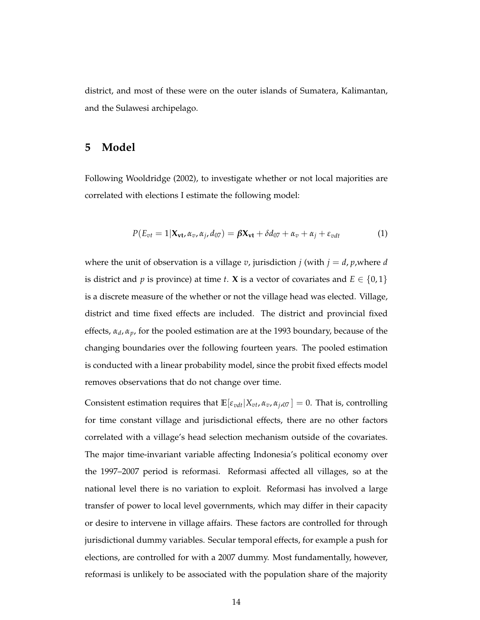district, and most of these were on the outer islands of Sumatera, Kalimantan, and the Sulawesi archipelago.

### **5 Model**

Following Wooldridge (2002), to investigate whether or not local majorities are correlated with elections I estimate the following model:

$$
P(E_{vt} = 1 | \mathbf{X}_{vt}, \alpha_v, \alpha_j, d_{07}) = \beta \mathbf{X}_{vt} + \delta d_{07} + \alpha_v + \alpha_j + \varepsilon_{vdt}
$$
(1)

where the unit of observation is a village  $v$ , jurisdiction  $j$  (with  $j = d$ ,  $p$ , where  $d$ is district and *p* is province) at time *t*. **X** is a vector of covariates and  $E \in \{0, 1\}$ is a discrete measure of the whether or not the village head was elected. Village, district and time fixed effects are included. The district and provincial fixed effects, *α<sup>d</sup>* , *αp*, for the pooled estimation are at the 1993 boundary, because of the changing boundaries over the following fourteen years. The pooled estimation is conducted with a linear probability model, since the probit fixed effects model removes observations that do not change over time.

Consistent estimation requires that  $\mathbb{E}[\varepsilon_{vdt}|X_{vt}, \alpha_v, \alpha_{j,07}] = 0$ . That is, controlling for time constant village and jurisdictional effects, there are no other factors correlated with a village's head selection mechanism outside of the covariates. The major time-invariant variable affecting Indonesia's political economy over the 1997–2007 period is reformasi. Reformasi affected all villages, so at the national level there is no variation to exploit. Reformasi has involved a large transfer of power to local level governments, which may differ in their capacity or desire to intervene in village affairs. These factors are controlled for through jurisdictional dummy variables. Secular temporal effects, for example a push for elections, are controlled for with a 2007 dummy. Most fundamentally, however, reformasi is unlikely to be associated with the population share of the majority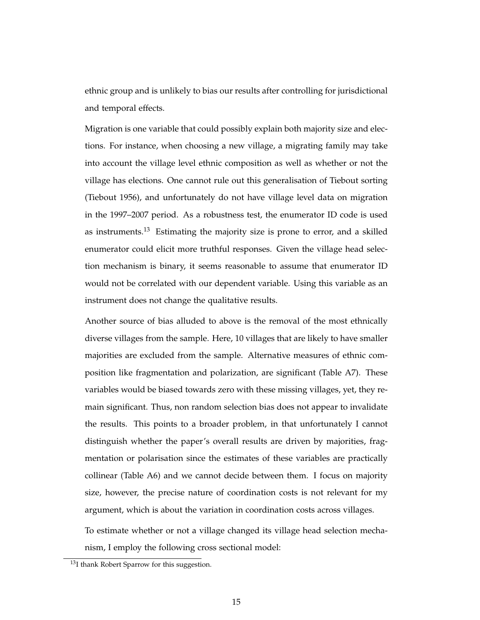ethnic group and is unlikely to bias our results after controlling for jurisdictional and temporal effects.

Migration is one variable that could possibly explain both majority size and elections. For instance, when choosing a new village, a migrating family may take into account the village level ethnic composition as well as whether or not the village has elections. One cannot rule out this generalisation of Tiebout sorting (Tiebout 1956), and unfortunately do not have village level data on migration in the 1997–2007 period. As a robustness test, the enumerator ID code is used as instruments.<sup>13</sup> Estimating the majority size is prone to error, and a skilled enumerator could elicit more truthful responses. Given the village head selection mechanism is binary, it seems reasonable to assume that enumerator ID would not be correlated with our dependent variable. Using this variable as an instrument does not change the qualitative results.

Another source of bias alluded to above is the removal of the most ethnically diverse villages from the sample. Here, 10 villages that are likely to have smaller majorities are excluded from the sample. Alternative measures of ethnic composition like fragmentation and polarization, are significant (Table A7). These variables would be biased towards zero with these missing villages, yet, they remain significant. Thus, non random selection bias does not appear to invalidate the results. This points to a broader problem, in that unfortunately I cannot distinguish whether the paper's overall results are driven by majorities, fragmentation or polarisation since the estimates of these variables are practically collinear (Table A6) and we cannot decide between them. I focus on majority size, however, the precise nature of coordination costs is not relevant for my argument, which is about the variation in coordination costs across villages.

To estimate whether or not a village changed its village head selection mechanism, I employ the following cross sectional model:

<sup>&</sup>lt;sup>13</sup>I thank Robert Sparrow for this suggestion.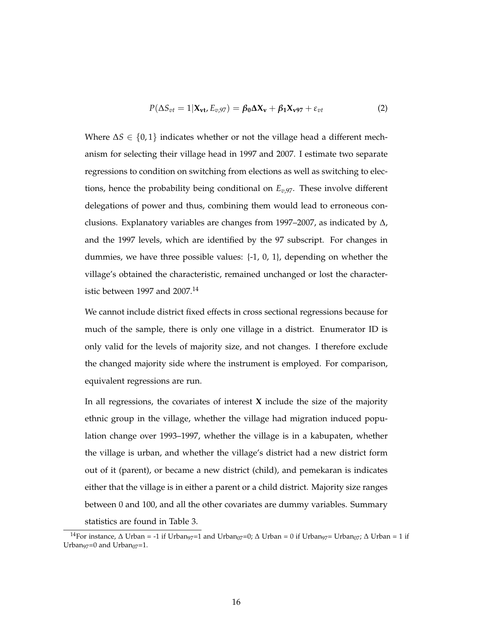$$
P(\Delta S_{vt} = 1 | \mathbf{X}_{vt}, E_{v,97}) = \beta_0 \Delta \mathbf{X}_v + \beta_1 \mathbf{X}_{v97} + \varepsilon_{vt}
$$
 (2)

Where  $\Delta S \in \{0,1\}$  indicates whether or not the village head a different mechanism for selecting their village head in 1997 and 2007. I estimate two separate regressions to condition on switching from elections as well as switching to elections, hence the probability being conditional on *Ev*,97. These involve different delegations of power and thus, combining them would lead to erroneous conclusions. Explanatory variables are changes from 1997–2007, as indicated by  $\Delta$ , and the 1997 levels, which are identified by the 97 subscript. For changes in dummies, we have three possible values: {-1, 0, 1}, depending on whether the village's obtained the characteristic, remained unchanged or lost the characteristic between 1997 and  $2007.<sup>14</sup>$ 

We cannot include district fixed effects in cross sectional regressions because for much of the sample, there is only one village in a district. Enumerator ID is only valid for the levels of majority size, and not changes. I therefore exclude the changed majority side where the instrument is employed. For comparison, equivalent regressions are run.

In all regressions, the covariates of interest **X** include the size of the majority ethnic group in the village, whether the village had migration induced population change over 1993–1997, whether the village is in a kabupaten, whether the village is urban, and whether the village's district had a new district form out of it (parent), or became a new district (child), and pemekaran is indicates either that the village is in either a parent or a child district. Majority size ranges between 0 and 100, and all the other covariates are dummy variables. Summary statistics are found in Table 3.

<sup>&</sup>lt;sup>14</sup>For instance,  $\Delta$  Urban = -1 if Urban<sub>97</sub>=1 and Urban<sub>07</sub>=0;  $\Delta$  Urban = 0 if Urban<sub>97</sub>= Urban<sub>07</sub>;  $\Delta$  Urban = 1 if Urban<sub>97</sub>=0 and Urban<sub>07</sub>=1.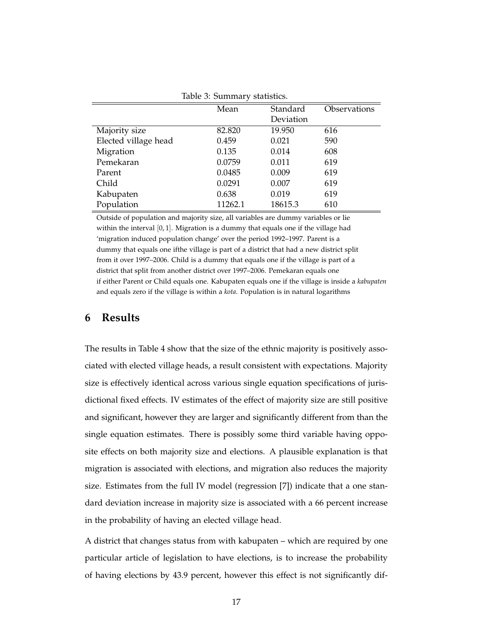|                      | Table 5. Julillial y Statistics. |           |              |
|----------------------|----------------------------------|-----------|--------------|
|                      | Mean                             | Standard  | Observations |
|                      |                                  | Deviation |              |
| Majority size        | 82.820                           | 19.950    | 616          |
| Elected village head | 0.459                            | 0.021     | 590          |
| Migration            | 0.135                            | 0.014     | 608          |
| Pemekaran            | 0.0759                           | 0.011     | 619          |
| Parent               | 0.0485                           | 0.009     | 619          |
| Child                | 0.0291                           | 0.007     | 619          |
| Kabupaten            | 0.638                            | 0.019     | 619          |
| Population           | 11262.1                          | 18615.3   | 610          |

Table 3: Summary statistics.

Outside of population and majority size, all variables are dummy variables or lie within the interval  $[0, 1]$ . Migration is a dummy that equals one if the village had 'migration induced population change' over the period 1992–1997. Parent is a dummy that equals one ifthe village is part of a district that had a new district split from it over 1997–2006. Child is a dummy that equals one if the village is part of a district that split from another district over 1997–2006. Pemekaran equals one if either Parent or Child equals one. Kabupaten equals one if the village is inside a *kabupaten* and equals zero if the village is within a *kota*. Population is in natural logarithms

#### **6 Results**

The results in Table 4 show that the size of the ethnic majority is positively associated with elected village heads, a result consistent with expectations. Majority size is effectively identical across various single equation specifications of jurisdictional fixed effects. IV estimates of the effect of majority size are still positive and significant, however they are larger and significantly different from than the single equation estimates. There is possibly some third variable having opposite effects on both majority size and elections. A plausible explanation is that migration is associated with elections, and migration also reduces the majority size. Estimates from the full IV model (regression [7]) indicate that a one standard deviation increase in majority size is associated with a 66 percent increase in the probability of having an elected village head.

A district that changes status from with kabupaten – which are required by one particular article of legislation to have elections, is to increase the probability of having elections by 43.9 percent, however this effect is not significantly dif-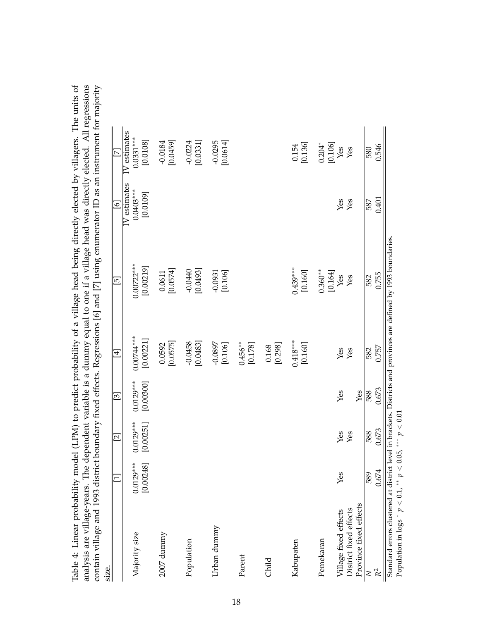| contain village and 1993 district<br>size.                                                                       |                          |                          |                               |                           | boundary fixed effects. Regressions [6] and [7] using enumerator ID as an instrument for ma |                                         |                                         |  |
|------------------------------------------------------------------------------------------------------------------|--------------------------|--------------------------|-------------------------------|---------------------------|---------------------------------------------------------------------------------------------|-----------------------------------------|-----------------------------------------|--|
|                                                                                                                  |                          | $\Xi$                    | $\boxed{3}$                   | $\overline{4}$            | $\overline{5}$                                                                              | ତ                                       | $\overline{\triangleright}$             |  |
| Majority size                                                                                                    | $0.0129***$<br>[0.00248] | $0.0129***$<br>[0.00251] | $0.0129***$<br>[0.00300]      | $0.00744***$<br>[0.00221] | $0.00722***$<br>[0.00219]                                                                   | IV estimates<br>$0.0403***$<br>[0.0109] | IV estimates<br>$0.0331***$<br>[0.0108] |  |
| 2007 dunnny                                                                                                      |                          |                          |                               | [0.0575]<br>0.0592        | [0.0574]<br>0.0611                                                                          |                                         | [0.0459]<br>$-0.0184$                   |  |
| Population                                                                                                       |                          |                          |                               | $-0.0458$<br>[0.0483]     | [0.0493]<br>$-0.0440$                                                                       |                                         | [0.0331]<br>$-0.0224$                   |  |
| Urban dummy                                                                                                      |                          |                          |                               | $-0.0897$<br>[0.106]      | $-0.0931$<br>[0.106]                                                                        |                                         | $-0.0295$<br>[0.0614]                   |  |
| Parent                                                                                                           |                          |                          |                               | $0.456***$<br>[0.178]     |                                                                                             |                                         |                                         |  |
| Child                                                                                                            |                          |                          |                               | [0.298]<br>0.168          |                                                                                             |                                         |                                         |  |
| Kabupaten                                                                                                        |                          |                          |                               | $0.418***$<br>[0.160]     | $0.439***$<br>[0.160]                                                                       |                                         | [0.136]<br>0.154                        |  |
| Pemekaran                                                                                                        |                          |                          |                               |                           | $0.360**$<br>[0.164]                                                                        |                                         | $0.204*$<br>[0.106]                     |  |
| Village fixed effects                                                                                            | Yes                      | Yes                      | $\operatorname{\mathsf{Yes}}$ | Yes                       | ${\hbox{Yes}}$                                                                              | Yes                                     | ${\hbox{Yes}}$                          |  |
| District fixed effects                                                                                           |                          | Yes                      |                               | Yes                       | $Y$ es                                                                                      | Yes                                     | Yes                                     |  |
| Province fixed effects                                                                                           |                          |                          | Yes                           |                           |                                                                                             |                                         |                                         |  |
|                                                                                                                  | 589                      | 588                      | 588                           | 582                       | 582                                                                                         | 587                                     | 580                                     |  |
| $\mathbb{R}^2$                                                                                                   | 0.674                    | 0.673                    | 0.673                         | 0.757                     | 0.755                                                                                       | 0.401                                   | 0.546                                   |  |
| Standard errors clustered at district level in brackets. Districts and provinces are defined by 1993 boundaries. |                          |                          |                               |                           |                                                                                             |                                         |                                         |  |

Table 4: Linear probability model (LPM) to predict probability of a village head being directly elected by villagers. The units of analysis are village-years. The dependent variable is a dumny equal to one if a village hea yitty Table 4: Linear probability model (LPM) to predict probability of a village head being directly elected by villagers. The units of analysis are village-years. The dependent variable is a dummy equal to one if a village head was directly elected. All regressions contain village and 1993 district boundary fixed effects. Regressions [6] and [7] using enumerator ID as an instrument for majority S  $\frac{1}{2}$ 

Population in logs

Population in logs \*  $p < 0.1$ , \*\*  $p < 0.05$ , \*\*\*  $p < 0.01$ 

*p* < 0.1, ∗∗ *p* < 0.05, ∗∗∗ *p* < 0.01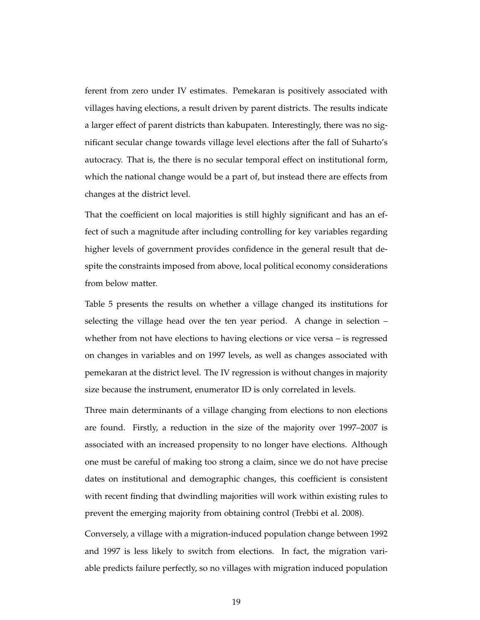ferent from zero under IV estimates. Pemekaran is positively associated with villages having elections, a result driven by parent districts. The results indicate a larger effect of parent districts than kabupaten. Interestingly, there was no significant secular change towards village level elections after the fall of Suharto's autocracy. That is, the there is no secular temporal effect on institutional form, which the national change would be a part of, but instead there are effects from changes at the district level.

That the coefficient on local majorities is still highly significant and has an effect of such a magnitude after including controlling for key variables regarding higher levels of government provides confidence in the general result that despite the constraints imposed from above, local political economy considerations from below matter.

Table 5 presents the results on whether a village changed its institutions for selecting the village head over the ten year period. A change in selection – whether from not have elections to having elections or vice versa – is regressed on changes in variables and on 1997 levels, as well as changes associated with pemekaran at the district level. The IV regression is without changes in majority size because the instrument, enumerator ID is only correlated in levels.

Three main determinants of a village changing from elections to non elections are found. Firstly, a reduction in the size of the majority over 1997–2007 is associated with an increased propensity to no longer have elections. Although one must be careful of making too strong a claim, since we do not have precise dates on institutional and demographic changes, this coefficient is consistent with recent finding that dwindling majorities will work within existing rules to prevent the emerging majority from obtaining control (Trebbi et al. 2008).

Conversely, a village with a migration-induced population change between 1992 and 1997 is less likely to switch from elections. In fact, the migration variable predicts failure perfectly, so no villages with migration induced population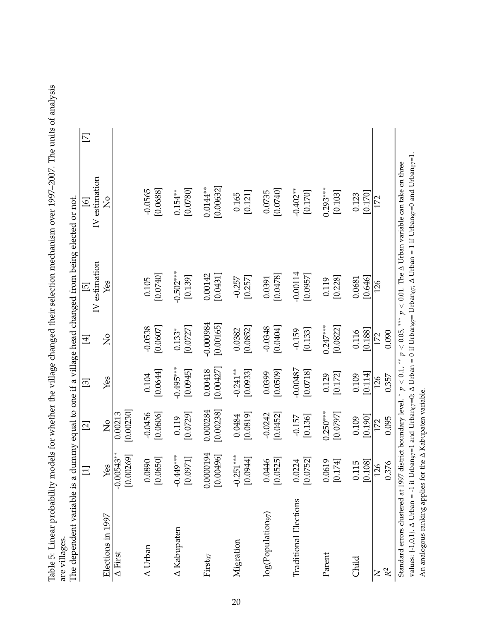| P 110119 Of 2021VS19                                                                                                                                |               |
|-----------------------------------------------------------------------------------------------------------------------------------------------------|---------------|
|                                                                                                                                                     |               |
|                                                                                                                                                     |               |
|                                                                                                                                                     |               |
|                                                                                                                                                     |               |
|                                                                                                                                                     |               |
|                                                                                                                                                     |               |
|                                                                                                                                                     |               |
|                                                                                                                                                     |               |
|                                                                                                                                                     |               |
|                                                                                                                                                     |               |
|                                                                                                                                                     |               |
|                                                                                                                                                     |               |
|                                                                                                                                                     |               |
|                                                                                                                                                     |               |
| whether the village changed their selection mechanism over 1997–2007. The units of analy                                                            |               |
|                                                                                                                                                     |               |
|                                                                                                                                                     |               |
| ⊥ל בעבר בנציאות                                                                                                                                     |               |
|                                                                                                                                                     |               |
|                                                                                                                                                     |               |
| $12.4 \times 10^{10}$ m $11.4 \times 10^{10}$ m $12.4 \times 10^{10}$ m $12.4 \times 10^{10}$ m $12.4 \times 10^{10}$<br>abit 9: Enical Diversities |               |
|                                                                                                                                                     |               |
|                                                                                                                                                     | u v maty      |
|                                                                                                                                                     | contellection |

|        | riable is a dummy equal to one if a village head changed from being elected or not. | ֖֖֖֖֪ׅ֪֪ׅ֪֪ׅ֪֪֪ׅ֪֪֪֪֪ׅ֖֧֚֚֚֚֚֚֚֚֚֬֝֝֝֝֝֬֝֬֝֝֝֬ |
|--------|-------------------------------------------------------------------------------------|------------------------------------------------|
|        |                                                                                     |                                                |
|        |                                                                                     |                                                |
|        |                                                                                     |                                                |
|        |                                                                                     |                                                |
|        | くうくうく                                                                               |                                                |
| aro Ir |                                                                                     |                                                |
|        |                                                                                     |                                                |

|                                                                                        |                                          | $\overline{\mathbb{Z}}$    | $\overline{\mathcal{E}}$ | $\overline{4}$           | $\overline{5}$         | $\overline{6}$                                                                                                                                                                                                                                                             | $\overline{\triangleright}$ |
|----------------------------------------------------------------------------------------|------------------------------------------|----------------------------|--------------------------|--------------------------|------------------------|----------------------------------------------------------------------------------------------------------------------------------------------------------------------------------------------------------------------------------------------------------------------------|-----------------------------|
| Elections in 1997                                                                      | $\mathbf{\underline{Y}}$ es              | $\frac{1}{2}$              | Yes                      | $\overline{S}$           | IV estimation<br>Yes   | IV estimation<br>$\frac{1}{2}$                                                                                                                                                                                                                                             |                             |
| $\overline{\Delta}$ First                                                              | $-0.00543**$<br>[0.00269]                | [0.00230]<br>0.00213       |                          |                          |                        |                                                                                                                                                                                                                                                                            |                             |
| $\Delta$ Urban                                                                         | [0.0650]<br>0.0890                       | $-0.0456$<br>[0.0606]      | [0.0644]<br>0.104        | $-0.0538$<br>[0.0607]    | [0.0740]<br>0.105      | $-0.0565$<br>[0.0688]                                                                                                                                                                                                                                                      |                             |
| A Kabupaten                                                                            | $-0.449***$<br>[0.0971]                  | [0.0729]<br>0.119          | $-0.495***$<br>[0.0945]  | [0.0727]<br>$0.133*$     | $-0.502***$<br>[0.139] | [0.0780]<br>$0.154***$                                                                                                                                                                                                                                                     |                             |
| First97                                                                                | 0.0000194<br>[0.00496]                   | 0.000284<br>[0.00238]      | [0.00427]<br>0.00418     | $-0.000984$<br>[0.00165] | 0.00142<br>[0.0431]    | $0.0144**$<br>[0.00632]                                                                                                                                                                                                                                                    |                             |
| Migration                                                                              | $-0.251***$<br>[0.0944]                  | [0.0819]<br>0.0484         | $-0.241**$<br>[0.0933]   | [0.0852]<br>0.0382       | [0.257]<br>$-0.257$    | [0.121]<br>0.165                                                                                                                                                                                                                                                           |                             |
| $\log(\rm Population_2)$                                                               | [0.0525]<br>0.0446                       | [0.0452]<br>$-0.0242$      | [0.0509]<br>0.0399       | [0.0404]<br>$-0.0348$    | [0.0478]<br>0.0391     | [0.0740]<br>0.0735                                                                                                                                                                                                                                                         |                             |
| <b>Traditional Elections</b>                                                           | [0.0752]<br>0.0224                       | [0.136]<br>$-0.157$        | $-0.00487$<br>[0.0718]   | $-0.159$<br>[0.133]      | $-0.00114$<br>[0.0957] | $-0.402**$<br>[0.170]                                                                                                                                                                                                                                                      |                             |
| Parent                                                                                 | 619<br>174]<br>$\overline{0}$ .<br>$\Xi$ | $0.250***$<br>[0.0797]     | [0.172]<br>0.129         | $0.247***$<br>[0.0822]   | [0.228]<br>0.119       | $0.293***$<br>[0.103]                                                                                                                                                                                                                                                      |                             |
| Child                                                                                  | [0.108]<br>0.115                         | [0.190]<br>0.109           | [0.114]<br>0.109         | [0.188]<br>0.116         | [0.646]<br>0.0681      | [0.170]<br>0.123                                                                                                                                                                                                                                                           |                             |
| $\rm R^2$<br>$\mathsf{X}$                                                              | 0.376<br>126                             | 0.095<br>172               | 0.357<br>126             | 0.090<br>172             | 126                    | 172                                                                                                                                                                                                                                                                        |                             |
| Standard errors clustered at 1997<br>values: $\{-1,0,1\}$ . $\Delta$ Urban = $-1$ if U |                                          | district boundary level. * | $p<0.1$ .**              |                          |                        | rban <sub>97</sub> =1 and Urban <sub>07</sub> =0; $\Delta$ Urban = 0 if Urban <sub>97</sub> = Urban <sub>07</sub> ; $\Delta$ Urban = 1 if Urban <sub>97</sub> =0 and Urban <sub>07</sub> =1<br>$p < 0.05$ , *** $p < 0.01$ . The $\Delta$ Urban variable can take on three |                             |

An analogous ranking applies for the

An analogous ranking applies for the  $\Delta$  Kabupaten variable.

Kabupaten variable.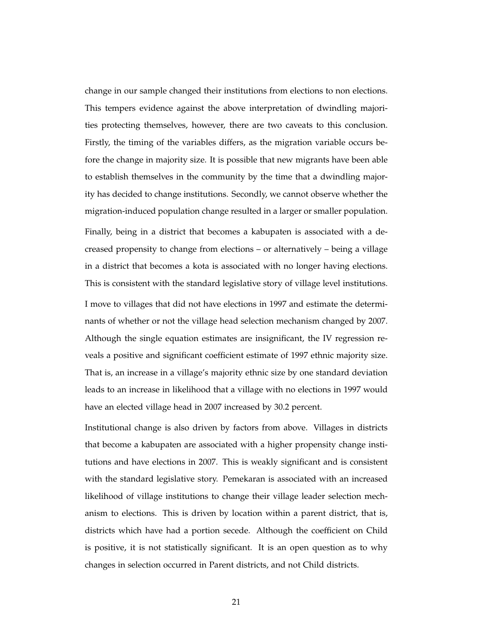change in our sample changed their institutions from elections to non elections. This tempers evidence against the above interpretation of dwindling majorities protecting themselves, however, there are two caveats to this conclusion. Firstly, the timing of the variables differs, as the migration variable occurs before the change in majority size. It is possible that new migrants have been able to establish themselves in the community by the time that a dwindling majority has decided to change institutions. Secondly, we cannot observe whether the migration-induced population change resulted in a larger or smaller population.

Finally, being in a district that becomes a kabupaten is associated with a decreased propensity to change from elections – or alternatively – being a village in a district that becomes a kota is associated with no longer having elections. This is consistent with the standard legislative story of village level institutions. I move to villages that did not have elections in 1997 and estimate the determinants of whether or not the village head selection mechanism changed by 2007. Although the single equation estimates are insignificant, the IV regression reveals a positive and significant coefficient estimate of 1997 ethnic majority size. That is, an increase in a village's majority ethnic size by one standard deviation leads to an increase in likelihood that a village with no elections in 1997 would have an elected village head in 2007 increased by 30.2 percent.

Institutional change is also driven by factors from above. Villages in districts that become a kabupaten are associated with a higher propensity change institutions and have elections in 2007. This is weakly significant and is consistent with the standard legislative story. Pemekaran is associated with an increased likelihood of village institutions to change their village leader selection mechanism to elections. This is driven by location within a parent district, that is, districts which have had a portion secede. Although the coefficient on Child is positive, it is not statistically significant. It is an open question as to why changes in selection occurred in Parent districts, and not Child districts.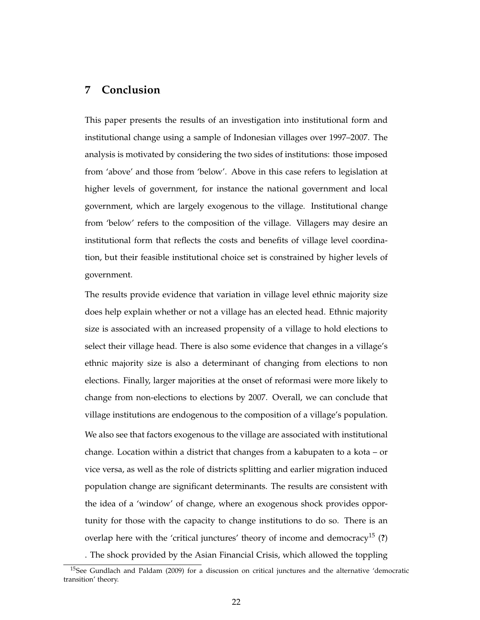## **7 Conclusion**

This paper presents the results of an investigation into institutional form and institutional change using a sample of Indonesian villages over 1997–2007. The analysis is motivated by considering the two sides of institutions: those imposed from 'above' and those from 'below'. Above in this case refers to legislation at higher levels of government, for instance the national government and local government, which are largely exogenous to the village. Institutional change from 'below' refers to the composition of the village. Villagers may desire an institutional form that reflects the costs and benefits of village level coordination, but their feasible institutional choice set is constrained by higher levels of government.

The results provide evidence that variation in village level ethnic majority size does help explain whether or not a village has an elected head. Ethnic majority size is associated with an increased propensity of a village to hold elections to select their village head. There is also some evidence that changes in a village's ethnic majority size is also a determinant of changing from elections to non elections. Finally, larger majorities at the onset of reformasi were more likely to change from non-elections to elections by 2007. Overall, we can conclude that village institutions are endogenous to the composition of a village's population.

We also see that factors exogenous to the village are associated with institutional change. Location within a district that changes from a kabupaten to a kota – or vice versa, as well as the role of districts splitting and earlier migration induced population change are significant determinants. The results are consistent with the idea of a 'window' of change, where an exogenous shock provides opportunity for those with the capacity to change institutions to do so. There is an overlap here with the 'critical junctures' theory of income and democracy<sup>15</sup> (?)

. The shock provided by the Asian Financial Crisis, which allowed the toppling

<sup>&</sup>lt;sup>15</sup>See Gundlach and Paldam (2009) for a discussion on critical junctures and the alternative 'democratic transition' theory.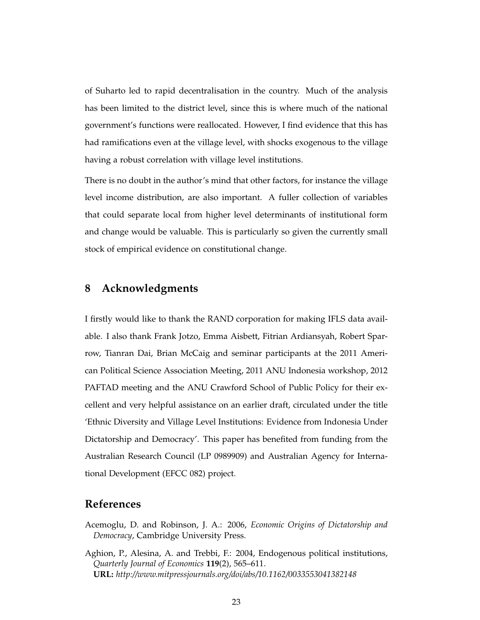of Suharto led to rapid decentralisation in the country. Much of the analysis has been limited to the district level, since this is where much of the national government's functions were reallocated. However, I find evidence that this has had ramifications even at the village level, with shocks exogenous to the village having a robust correlation with village level institutions.

There is no doubt in the author's mind that other factors, for instance the village level income distribution, are also important. A fuller collection of variables that could separate local from higher level determinants of institutional form and change would be valuable. This is particularly so given the currently small stock of empirical evidence on constitutional change.

### **8 Acknowledgments**

I firstly would like to thank the RAND corporation for making IFLS data available. I also thank Frank Jotzo, Emma Aisbett, Fitrian Ardiansyah, Robert Sparrow, Tianran Dai, Brian McCaig and seminar participants at the 2011 American Political Science Association Meeting, 2011 ANU Indonesia workshop, 2012 PAFTAD meeting and the ANU Crawford School of Public Policy for their excellent and very helpful assistance on an earlier draft, circulated under the title 'Ethnic Diversity and Village Level Institutions: Evidence from Indonesia Under Dictatorship and Democracy'. This paper has benefited from funding from the Australian Research Council (LP 0989909) and Australian Agency for International Development (EFCC 082) project.

#### **References**

- Acemoglu, D. and Robinson, J. A.: 2006, *Economic Origins of Dictatorship and Democracy*, Cambridge University Press.
- Aghion, P., Alesina, A. and Trebbi, F.: 2004, Endogenous political institutions, *Quarterly Journal of Economics* **119**(2), 565–611. **URL:** *http://www.mitpressjournals.org/doi/abs/10.1162/0033553041382148*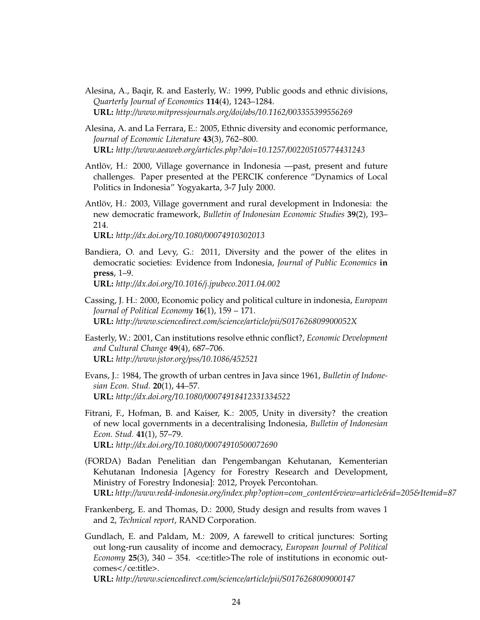- Alesina, A., Baqir, R. and Easterly, W.: 1999, Public goods and ethnic divisions, *Quarterly Journal of Economics* **114**(4), 1243–1284. **URL:** *http://www.mitpressjournals.org/doi/abs/10.1162/003355399556269*
- Alesina, A. and La Ferrara, E.: 2005, Ethnic diversity and economic performance, *Journal of Economic Literature* **43**(3), 762–800. **URL:** *http://www.aeaweb.org/articles.php?doi=10.1257/002205105774431243*
- Antlöv, H.: 2000, Village governance in Indonesia —past, present and future challenges. Paper presented at the PERCIK conference "Dynamics of Local Politics in Indonesia" Yogyakarta, 3-7 July 2000.
- Antlöv, H.: 2003, Village government and rural development in Indonesia: the new democratic framework, *Bulletin of Indonesian Economic Studies* **39**(2), 193– 214.

**URL:** *http://dx.doi.org/10.1080/00074910302013*

- Bandiera, O. and Levy, G.: 2011, Diversity and the power of the elites in democratic societies: Evidence from Indonesia, *Journal of Public Economics* **in press**, 1–9. **URL:** *http://dx.doi.org/10.1016/j.jpubeco.2011.04.002*
- Cassing, J. H.: 2000, Economic policy and political culture in indonesia, *European Journal of Political Economy* **16**(1), 159 – 171. **URL:** *http://www.sciencedirect.com/science/article/pii/S017626809900052X*
- Easterly, W.: 2001, Can institutions resolve ethnic conflict?, *Economic Development and Cultural Change* **49**(4), 687–706. **URL:** *http://www.jstor.org/pss/10.1086/452521*
- Evans, J.: 1984, The growth of urban centres in Java since 1961, *Bulletin of Indonesian Econ. Stud.* **20**(1), 44–57. **URL:** *http://dx.doi.org/10.1080/00074918412331334522*
- Fitrani, F., Hofman, B. and Kaiser, K.: 2005, Unity in diversity? the creation of new local governments in a decentralising Indonesia, *Bulletin of Indonesian Econ. Stud.* **41**(1), 57–79. **URL:** *http://dx.doi.org/10.1080/00074910500072690*
- (FORDA) Badan Penelitian dan Pengembangan Kehutanan, Kementerian Kehutanan Indonesia [Agency for Forestry Research and Development, Ministry of Forestry Indonesia]: 2012, Proyek Percontohan. **URL:** *http://www.redd-indonesia.org/index.php?option=com\_content&view=article&id=205&Itemid=87*
- Frankenberg, E. and Thomas, D.: 2000, Study design and results from waves 1 and 2, *Technical report*, RAND Corporation.
- Gundlach, E. and Paldam, M.: 2009, A farewell to critical junctures: Sorting out long-run causality of income and democracy, *European Journal of Political Economy* **25**(3), 340 – 354. <ce:title>The role of institutions in economic outcomes</ce:title>.

**URL:** *http://www.sciencedirect.com/science/article/pii/S0176268009000147*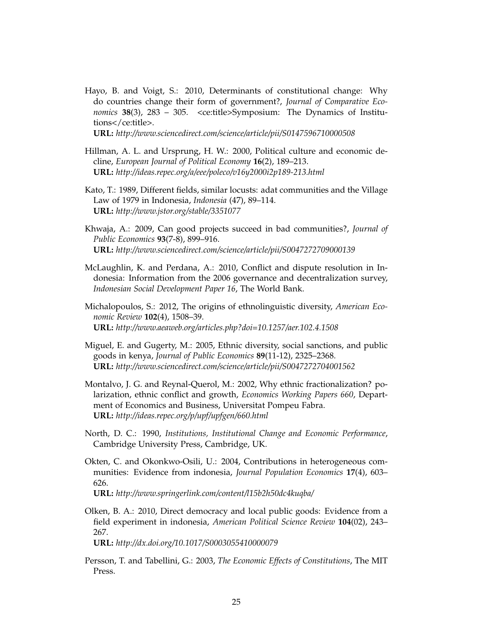Hayo, B. and Voigt, S.: 2010, Determinants of constitutional change: Why do countries change their form of government?, *Journal of Comparative Economics* **38**(3), 283 – 305. <ce:title>Symposium: The Dynamics of Institutions</ce:title>.

**URL:** *http://www.sciencedirect.com/science/article/pii/S0147596710000508*

- Hillman, A. L. and Ursprung, H. W.: 2000, Political culture and economic decline, *European Journal of Political Economy* **16**(2), 189–213. **URL:** *http://ideas.repec.org/a/eee/poleco/v16y2000i2p189-213.html*
- Kato, T.: 1989, Different fields, similar locusts: adat communities and the Village Law of 1979 in Indonesia, *Indonesia* (47), 89–114. **URL:** *http://www.jstor.org/stable/3351077*
- Khwaja, A.: 2009, Can good projects succeed in bad communities?, *Journal of Public Economics* **93**(7-8), 899–916. **URL:** *http://www.sciencedirect.com/science/article/pii/S0047272709000139*
- McLaughlin, K. and Perdana, A.: 2010, Conflict and dispute resolution in Indonesia: Information from the 2006 governance and decentralization survey, *Indonesian Social Development Paper 16*, The World Bank.
- Michalopoulos, S.: 2012, The origins of ethnolinguistic diversity, *American Economic Review* **102**(4), 1508–39. **URL:** *http://www.aeaweb.org/articles.php?doi=10.1257/aer.102.4.1508*
- Miguel, E. and Gugerty, M.: 2005, Ethnic diversity, social sanctions, and public goods in kenya, *Journal of Public Economics* **89**(11-12), 2325–2368. **URL:** *http://www.sciencedirect.com/science/article/pii/S0047272704001562*
- Montalvo, J. G. and Reynal-Querol, M.: 2002, Why ethnic fractionalization? polarization, ethnic conflict and growth, *Economics Working Papers 660*, Department of Economics and Business, Universitat Pompeu Fabra. **URL:** *http://ideas.repec.org/p/upf/upfgen/660.html*
- North, D. C.: 1990, *Institutions, Institutional Change and Economic Performance*, Cambridge University Press, Cambridge, UK.
- Okten, C. and Okonkwo-Osili, U.: 2004, Contributions in heterogeneous communities: Evidence from indonesia, *Journal Population Economics* **17**(4), 603– 626.

**URL:** *http://www.springerlink.com/content/l15b2h50dc4kuqba/*

Olken, B. A.: 2010, Direct democracy and local public goods: Evidence from a field experiment in indonesia, *American Political Science Review* **104**(02), 243– 267.

**URL:** *http://dx.doi.org/10.1017/S0003055410000079*

Persson, T. and Tabellini, G.: 2003, *The Economic Effects of Constitutions*, The MIT Press.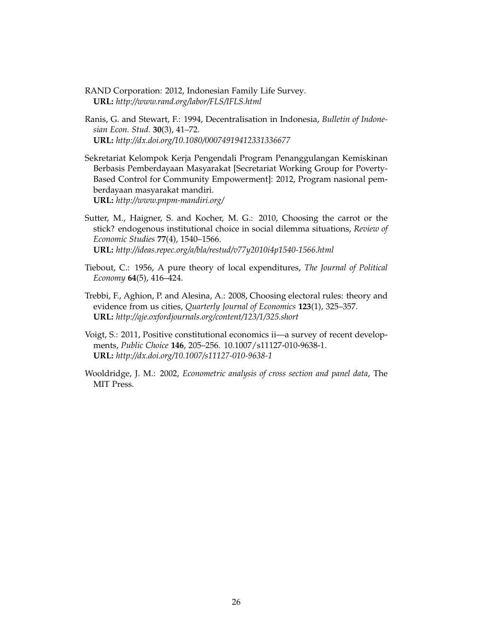- RAND Corporation: 2012, Indonesian Family Life Survey. **URL:** *http://www.rand.org/labor/FLS/IFLS.html*
- Ranis, G. and Stewart, F.: 1994, Decentralisation in Indonesia, *Bulletin of Indonesian Econ. Stud.* **30**(3), 41–72. **URL:** *http://dx.doi.org/10.1080/00074919412331336677*
- Sekretariat Kelompok Kerja Pengendali Program Penanggulangan Kemiskinan Berbasis Pemberdayaan Masyarakat [Secretariat Working Group for Poverty-Based Control for Community Empowerment]: 2012, Program nasional pemberdayaan masyarakat mandiri. **URL:** *http://www.pnpm-mandiri.org/*
- Sutter, M., Haigner, S. and Kocher, M. G.: 2010, Choosing the carrot or the stick? endogenous institutional choice in social dilemma situations, *Review of Economic Studies* **77**(4), 1540–1566. **URL:** *http://ideas.repec.org/a/bla/restud/v77y2010i4p1540-1566.html*
- Tiebout, C.: 1956, A pure theory of local expenditures, *The Journal of Political Economy* **64**(5), 416–424.
- Trebbi, F., Aghion, P. and Alesina, A.: 2008, Choosing electoral rules: theory and evidence from us cities, *Quarterly Journal of Economics* **123**(1), 325–357. **URL:** *http://qje.oxfordjournals.org/content/123/1/325.short*
- Voigt, S.: 2011, Positive constitutional economics ii—a survey of recent developments, *Public Choice* **146**, 205–256. 10.1007/s11127-010-9638-1. **URL:** *http://dx.doi.org/10.1007/s11127-010-9638-1*
- Wooldridge, J. M.: 2002, *Econometric analysis of cross section and panel data*, The MIT Press.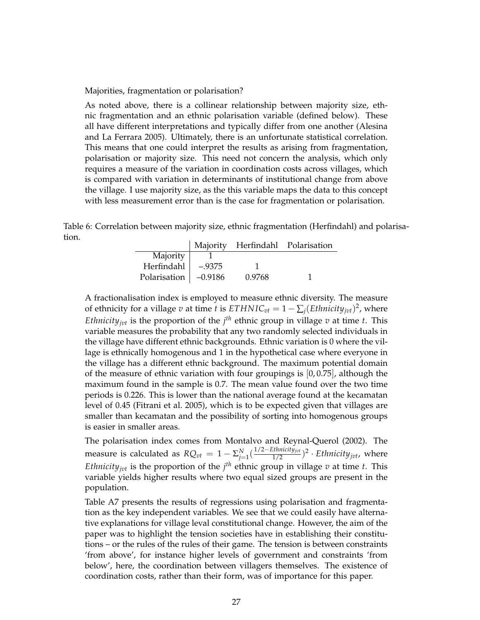Majorities, fragmentation or polarisation?

As noted above, there is a collinear relationship between majority size, ethnic fragmentation and an ethnic polarisation variable (defined below). These all have different interpretations and typically differ from one another (Alesina and La Ferrara 2005). Ultimately, there is an unfortunate statistical correlation. This means that one could interpret the results as arising from fragmentation, polarisation or majority size. This need not concern the analysis, which only requires a measure of the variation in coordination costs across villages, which is compared with variation in determinants of institutional change from above the village. I use majority size, as the this variable maps the data to this concept with less measurement error than is the case for fragmentation or polarisation.

Table 6: Correlation between majority size, ethnic fragmentation (Herfindahl) and polarisation.

|              |           |        | Majority Herfindahl Polarisation |
|--------------|-----------|--------|----------------------------------|
| Majority     |           |        |                                  |
| Herfindahl   | $-.9375$  |        |                                  |
| Polarisation | $-0.9186$ | 0.9768 |                                  |

A fractionalisation index is employed to measure ethnic diversity. The measure of ethnicity for a village  $v$  at time  $t$  is  $ETHNIC_{vt} = 1 - \sum_j (Ethnicity_{jvt})^2$ , where *Ethnicity<sub>jvt</sub>* is the proportion of the  $j<sup>th</sup>$  ethnic group in village *v* at time *t*. This variable measures the probability that any two randomly selected individuals in the village have different ethnic backgrounds. Ethnic variation is 0 where the village is ethnically homogenous and 1 in the hypothetical case where everyone in the village has a different ethnic background. The maximum potential domain of the measure of ethnic variation with four groupings is [0, 0.75], although the maximum found in the sample is 0.7. The mean value found over the two time periods is 0.226. This is lower than the national average found at the kecamatan level of 0.45 (Fitrani et al. 2005), which is to be expected given that villages are smaller than kecamatan and the possibility of sorting into homogenous groups is easier in smaller areas.

The polarisation index comes from Montalvo and Reynal-Querol (2002). The measure is calculated as  $RQ_{vt} = 1 - \sum_{j=1}^{N} (\frac{1/2-Ethnicity_{jvt}}{1/2})^2 \cdot Ethnicity_{jvt}$ , where *Ethnicity<sub>jvt</sub>* is the proportion of the  $j<sup>th</sup>$  ethnic group in village *v* at time *t*. This variable yields higher results where two equal sized groups are present in the population.

Table A7 presents the results of regressions using polarisation and fragmentation as the key independent variables. We see that we could easily have alternative explanations for village leval constitutional change. However, the aim of the paper was to highlight the tension societies have in establishing their constitutions – or the rules of the rules of their game. The tension is between constraints 'from above', for instance higher levels of government and constraints 'from below', here, the coordination between villagers themselves. The existence of coordination costs, rather than their form, was of importance for this paper.